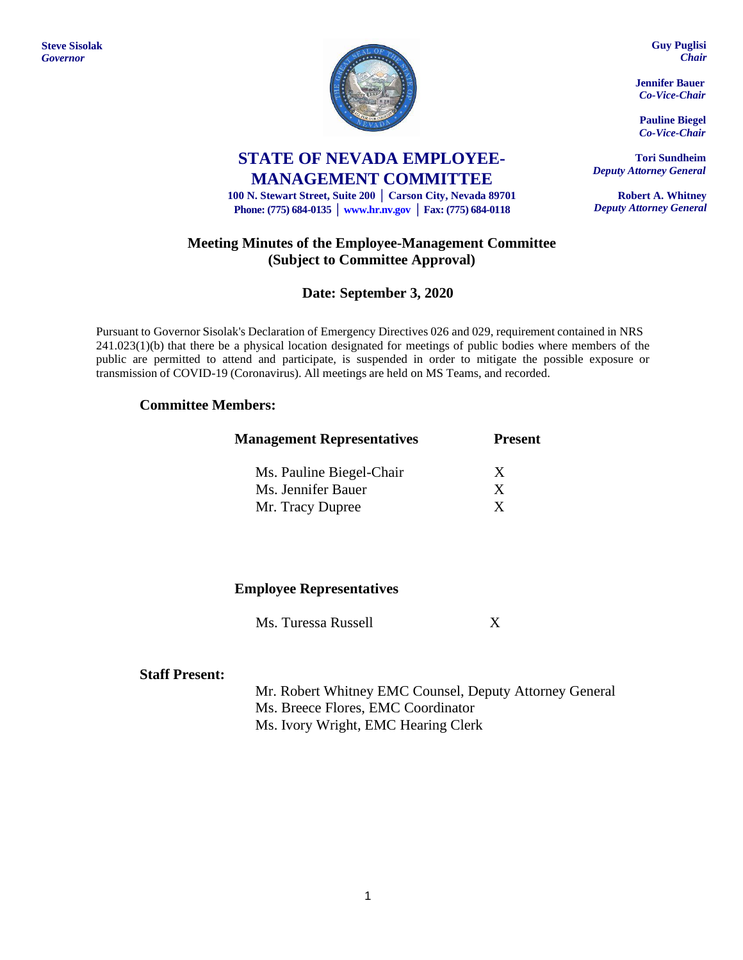**Steve Sisolak** *Governor*



# **STATE OF NEVADA EMPLOYEE-MANAGEMENT COMMITTEE**

**100 N. Stewart Street, Suite 200 │ Carson City, Nevada 89701 Phone: (775) 684-0135 │ [www.hr.nv.gov](http://www.hr.nv.gov/) │ Fax: (775) 684-0118**

# **Meeting Minutes of the Employee-Management Committee (Subject to Committee Approval)**

# **Date: September 3, 2020**

Pursuant to Governor Sisolak's Declaration of Emergency Directives 026 and 029, requirement contained in NRS 241.023(1)(b) that there be a physical location designated for meetings of public bodies where members of the public are permitted to attend and participate, is suspended in order to mitigate the possible exposure or transmission of COVID-19 (Coronavirus). All meetings are held on MS Teams, and recorded.

### **Committee Members:**

| <b>Management Representatives</b> | <b>Present</b> |  |
|-----------------------------------|----------------|--|
| Ms. Pauline Biegel-Chair          | X              |  |
| Ms. Jennifer Bauer                | X              |  |
| Mr. Tracy Dupree                  | X              |  |

### **Employee Representatives**

Ms. Turessa Russell X

#### **Staff Present:**

Mr. Robert Whitney EMC Counsel, Deputy Attorney General Ms. Breece Flores, EMC Coordinator Ms. Ivory Wright, EMC Hearing Clerk

**Guy Puglisi** *Chair*

**Jennifer Bauer** *Co-Vice-Chair*

**Pauline Biegel** *Co-Vice-Chair*

**Tori Sundheim** *Deputy Attorney General*

**Robert A. Whitney** *Deputy Attorney General*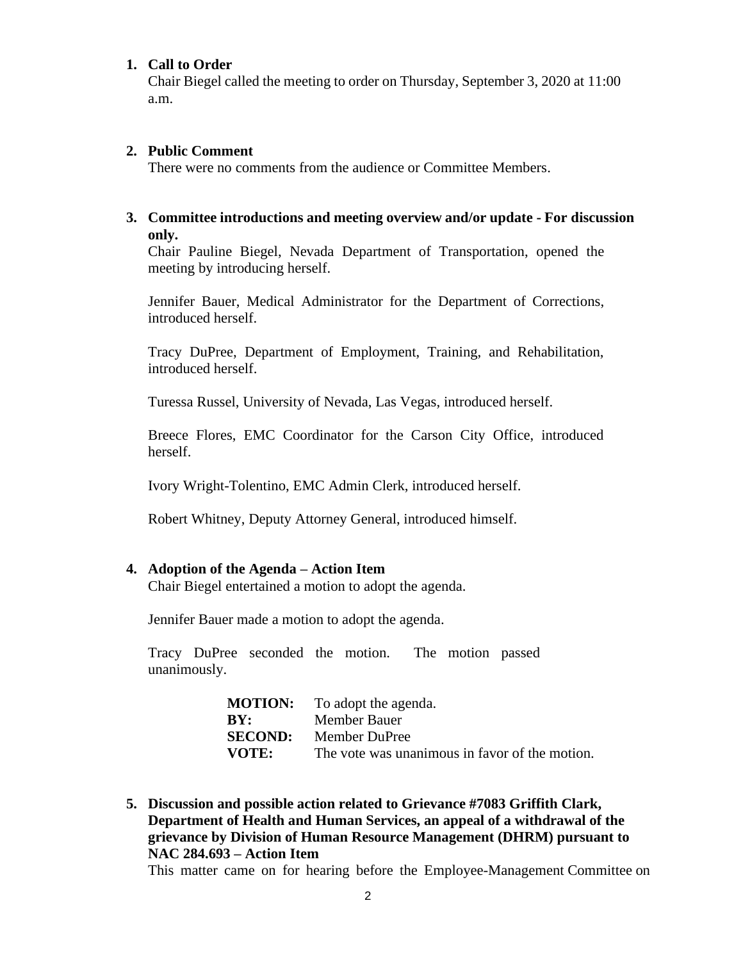#### **1. Call to Order**

Chair Biegel called the meeting to order on Thursday, September 3, 2020 at 11:00 a.m.

#### **2. Public Comment**

There were no comments from the audience or Committee Members.

#### **3. Committee introductions and meeting overview and/or update - For discussion only.**

Chair Pauline Biegel, Nevada Department of Transportation, opened the meeting by introducing herself.

Jennifer Bauer, Medical Administrator for the Department of Corrections, introduced herself.

Tracy DuPree, Department of Employment, Training, and Rehabilitation, introduced herself.

Turessa Russel, University of Nevada, Las Vegas, introduced herself.

Breece Flores, EMC Coordinator for the Carson City Office, introduced herself.

Ivory Wright-Tolentino, EMC Admin Clerk, introduced herself.

Robert Whitney, Deputy Attorney General, introduced himself.

#### **4. Adoption of the Agenda – Action Item**

Chair Biegel entertained a motion to adopt the agenda.

Jennifer Bauer made a motion to adopt the agenda.

Tracy DuPree seconded the motion. The motion passed unanimously.

| <b>MOTION:</b> | To adopt the agenda.                           |
|----------------|------------------------------------------------|
| BY:            | Member Bauer                                   |
| <b>SECOND:</b> | Member DuPree                                  |
| <b>VOTE:</b>   | The vote was unanimous in favor of the motion. |

**5. Discussion and possible action related to Grievance #7083 Griffith Clark, Department of Health and Human Services, an appeal of a withdrawal of the grievance by Division of Human Resource Management (DHRM) pursuant to NAC 284.693 – Action Item**

This matter came on for hearing before the Employee-Management Committee on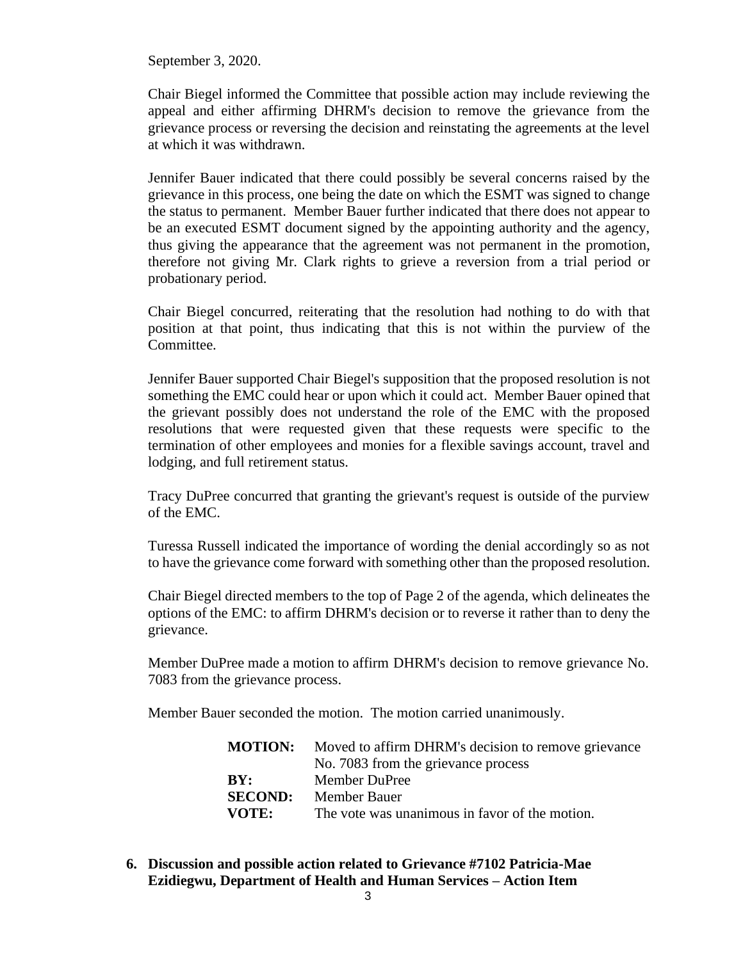September 3, 2020.

Chair Biegel informed the Committee that possible action may include reviewing the appeal and either affirming DHRM's decision to remove the grievance from the grievance process or reversing the decision and reinstating the agreements at the level at which it was withdrawn.

Jennifer Bauer indicated that there could possibly be several concerns raised by the grievance in this process, one being the date on which the ESMT was signed to change the status to permanent. Member Bauer further indicated that there does not appear to be an executed ESMT document signed by the appointing authority and the agency, thus giving the appearance that the agreement was not permanent in the promotion, therefore not giving Mr. Clark rights to grieve a reversion from a trial period or probationary period.

Chair Biegel concurred, reiterating that the resolution had nothing to do with that position at that point, thus indicating that this is not within the purview of the Committee.

Jennifer Bauer supported Chair Biegel's supposition that the proposed resolution is not something the EMC could hear or upon which it could act. Member Bauer opined that the grievant possibly does not understand the role of the EMC with the proposed resolutions that were requested given that these requests were specific to the termination of other employees and monies for a flexible savings account, travel and lodging, and full retirement status.

Tracy DuPree concurred that granting the grievant's request is outside of the purview of the EMC.

Turessa Russell indicated the importance of wording the denial accordingly so as not to have the grievance come forward with something other than the proposed resolution.

Chair Biegel directed members to the top of Page 2 of the agenda, which delineates the options of the EMC: to affirm DHRM's decision or to reverse it rather than to deny the grievance.

Member DuPree made a motion to affirm DHRM's decision to remove grievance No. 7083 from the grievance process.

Member Bauer seconded the motion. The motion carried unanimously.

| <b>MOTION:</b> | Moved to affirm DHRM's decision to remove grievance |
|----------------|-----------------------------------------------------|
|                | No. 7083 from the grievance process                 |
| BY:            | Member DuPree                                       |
| <b>SECOND:</b> | Member Bauer                                        |
| VOTE:          | The vote was unanimous in favor of the motion.      |

**6. Discussion and possible action related to Grievance #7102 Patricia-Mae Ezidiegwu, Department of Health and Human Services – Action Item**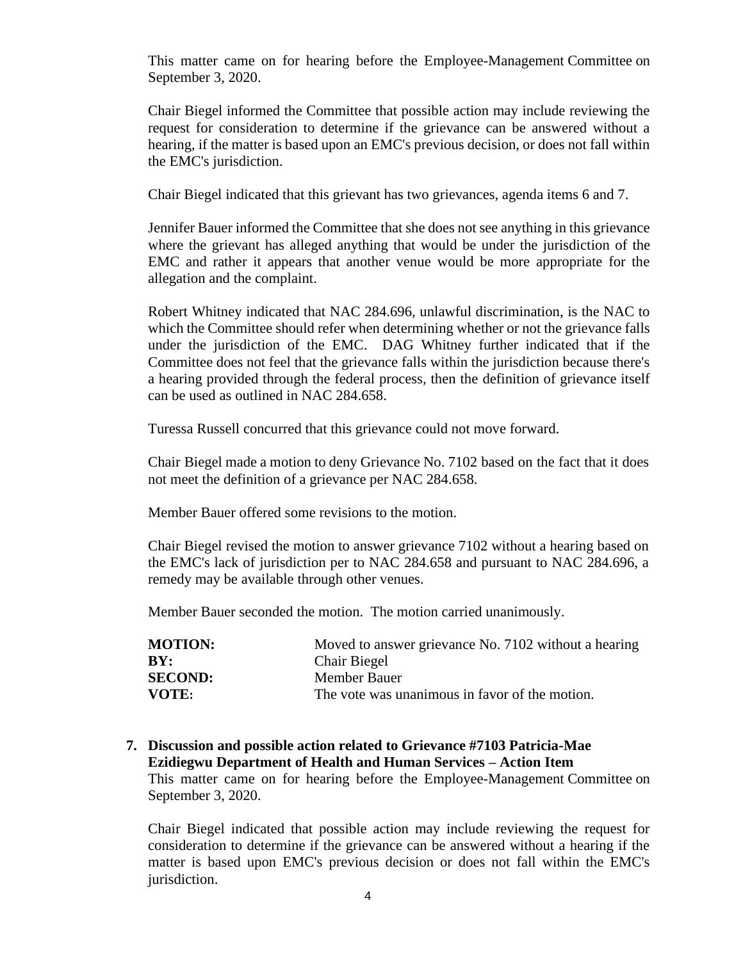This matter came on for hearing before the Employee-Management Committee on September 3, 2020.

Chair Biegel informed the Committee that possible action may include reviewing the request for consideration to determine if the grievance can be answered without a hearing, if the matter is based upon an EMC's previous decision, or does not fall within the EMC's jurisdiction.

Chair Biegel indicated that this grievant has two grievances, agenda items 6 and 7.

Jennifer Bauer informed the Committee that she does not see anything in this grievance where the grievant has alleged anything that would be under the jurisdiction of the EMC and rather it appears that another venue would be more appropriate for the allegation and the complaint.

Robert Whitney indicated that NAC 284.696, unlawful discrimination, is the NAC to which the Committee should refer when determining whether or not the grievance falls under the jurisdiction of the EMC. DAG Whitney further indicated that if the Committee does not feel that the grievance falls within the jurisdiction because there's a hearing provided through the federal process, then the definition of grievance itself can be used as outlined in NAC 284.658.

Turessa Russell concurred that this grievance could not move forward.

Chair Biegel made a motion to deny Grievance No. 7102 based on the fact that it does not meet the definition of a grievance per NAC 284.658.

Member Bauer offered some revisions to the motion.

Chair Biegel revised the motion to answer grievance 7102 without a hearing based on the EMC's lack of jurisdiction per to NAC 284.658 and pursuant to NAC 284.696, a remedy may be available through other venues.

Member Bauer seconded the motion. The motion carried unanimously.

| <b>MOTION:</b> | Moved to answer grievance No. 7102 without a hearing |
|----------------|------------------------------------------------------|
| BY:            | <b>Chair Biegel</b>                                  |
| <b>SECOND:</b> | Member Bauer                                         |
| VOTE:          | The vote was unanimous in favor of the motion.       |

#### **7. Discussion and possible action related to Grievance #7103 Patricia-Mae Ezidiegwu Department of Health and Human Services – Action Item**

This matter came on for hearing before the Employee-Management Committee on September 3, 2020.

Chair Biegel indicated that possible action may include reviewing the request for consideration to determine if the grievance can be answered without a hearing if the matter is based upon EMC's previous decision or does not fall within the EMC's jurisdiction.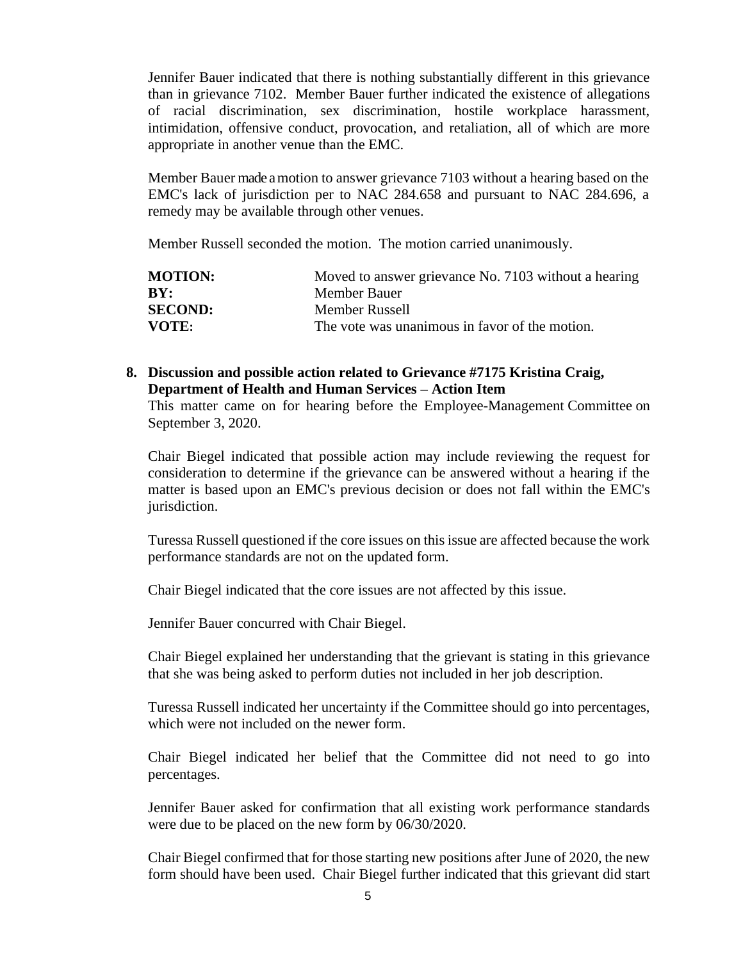Jennifer Bauer indicated that there is nothing substantially different in this grievance than in grievance 7102. Member Bauer further indicated the existence of allegations of racial discrimination, sex discrimination, hostile workplace harassment, intimidation, offensive conduct, provocation, and retaliation, all of which are more appropriate in another venue than the EMC.

Member Bauer made a motion to answer grievance 7103 without a hearing based on the EMC's lack of jurisdiction per to NAC 284.658 and pursuant to NAC 284.696, a remedy may be available through other venues.

Member Russell seconded the motion. The motion carried unanimously.

| <b>MOTION:</b> | Moved to answer grievance No. 7103 without a hearing |
|----------------|------------------------------------------------------|
| BY:            | Member Bauer                                         |
| <b>SECOND:</b> | Member Russell                                       |
| VOTE:          | The vote was unanimous in favor of the motion.       |

### **8. Discussion and possible action related to Grievance #7175 Kristina Craig, Department of Health and Human Services – Action Item**

This matter came on for hearing before the Employee-Management Committee on September 3, 2020.

Chair Biegel indicated that possible action may include reviewing the request for consideration to determine if the grievance can be answered without a hearing if the matter is based upon an EMC's previous decision or does not fall within the EMC's jurisdiction.

Turessa Russell questioned if the core issues on this issue are affected because the work performance standards are not on the updated form.

Chair Biegel indicated that the core issues are not affected by this issue.

Jennifer Bauer concurred with Chair Biegel.

Chair Biegel explained her understanding that the grievant is stating in this grievance that she was being asked to perform duties not included in her job description.

Turessa Russell indicated her uncertainty if the Committee should go into percentages, which were not included on the newer form.

Chair Biegel indicated her belief that the Committee did not need to go into percentages.

Jennifer Bauer asked for confirmation that all existing work performance standards were due to be placed on the new form by 06/30/2020.

Chair Biegel confirmed that for those starting new positions after June of 2020, the new form should have been used. Chair Biegel further indicated that this grievant did start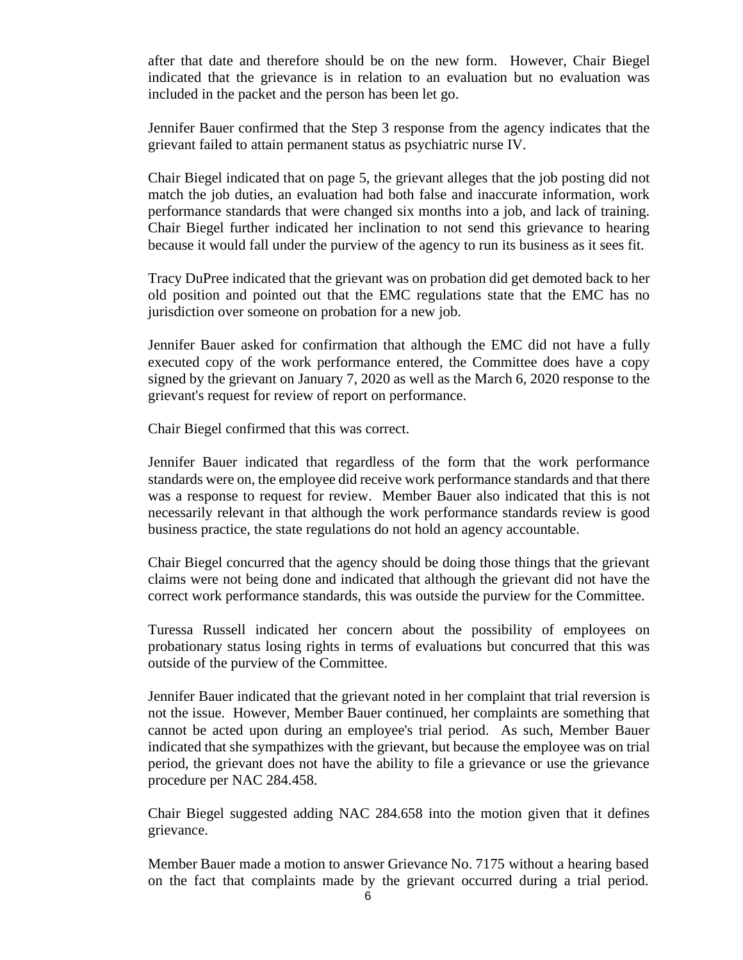after that date and therefore should be on the new form. However, Chair Biegel indicated that the grievance is in relation to an evaluation but no evaluation was included in the packet and the person has been let go.

Jennifer Bauer confirmed that the Step 3 response from the agency indicates that the grievant failed to attain permanent status as psychiatric nurse IV.

Chair Biegel indicated that on page 5, the grievant alleges that the job posting did not match the job duties, an evaluation had both false and inaccurate information, work performance standards that were changed six months into a job, and lack of training. Chair Biegel further indicated her inclination to not send this grievance to hearing because it would fall under the purview of the agency to run its business as it sees fit.

Tracy DuPree indicated that the grievant was on probation did get demoted back to her old position and pointed out that the EMC regulations state that the EMC has no jurisdiction over someone on probation for a new job.

Jennifer Bauer asked for confirmation that although the EMC did not have a fully executed copy of the work performance entered, the Committee does have a copy signed by the grievant on January 7, 2020 as well as the March 6, 2020 response to the grievant's request for review of report on performance.

Chair Biegel confirmed that this was correct.

Jennifer Bauer indicated that regardless of the form that the work performance standards were on, the employee did receive work performance standards and that there was a response to request for review. Member Bauer also indicated that this is not necessarily relevant in that although the work performance standards review is good business practice, the state regulations do not hold an agency accountable.

Chair Biegel concurred that the agency should be doing those things that the grievant claims were not being done and indicated that although the grievant did not have the correct work performance standards, this was outside the purview for the Committee.

Turessa Russell indicated her concern about the possibility of employees on probationary status losing rights in terms of evaluations but concurred that this was outside of the purview of the Committee.

Jennifer Bauer indicated that the grievant noted in her complaint that trial reversion is not the issue. However, Member Bauer continued, her complaints are something that cannot be acted upon during an employee's trial period. As such, Member Bauer indicated that she sympathizes with the grievant, but because the employee was on trial period, the grievant does not have the ability to file a grievance or use the grievance procedure per NAC 284.458.

Chair Biegel suggested adding NAC 284.658 into the motion given that it defines grievance.

Member Bauer made a motion to answer Grievance No. 7175 without a hearing based on the fact that complaints made by the grievant occurred during a trial period.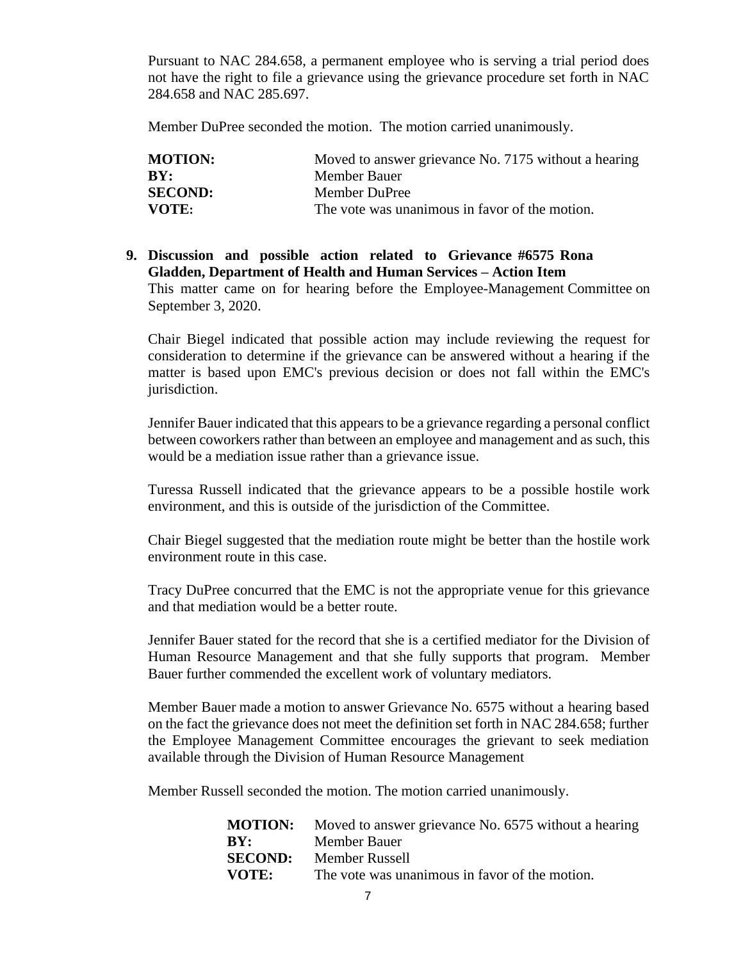Pursuant to NAC 284.658, a permanent employee who is serving a trial period does not have the right to file a grievance using the grievance procedure set forth in NAC 284.658 and NAC 285.697.

Member DuPree seconded the motion. The motion carried unanimously.

| <b>MOTION:</b> | Moved to answer grievance No. 7175 without a hearing |
|----------------|------------------------------------------------------|
| BY:            | Member Bauer                                         |
| <b>SECOND:</b> | Member DuPree                                        |
| VOTE:          | The vote was unanimous in favor of the motion.       |

# **9. Discussion and possible action related to Grievance #6575 Rona Gladden, Department of Health and Human Services – Action Item** This matter came on for hearing before the Employee-Management Committee on September 3, 2020.

Chair Biegel indicated that possible action may include reviewing the request for consideration to determine if the grievance can be answered without a hearing if the matter is based upon EMC's previous decision or does not fall within the EMC's jurisdiction.

Jennifer Bauer indicated that this appears to be a grievance regarding a personal conflict between coworkers rather than between an employee and management and as such, this would be a mediation issue rather than a grievance issue.

Turessa Russell indicated that the grievance appears to be a possible hostile work environment, and this is outside of the jurisdiction of the Committee.

Chair Biegel suggested that the mediation route might be better than the hostile work environment route in this case.

Tracy DuPree concurred that the EMC is not the appropriate venue for this grievance and that mediation would be a better route.

Jennifer Bauer stated for the record that she is a certified mediator for the Division of Human Resource Management and that she fully supports that program. Member Bauer further commended the excellent work of voluntary mediators.

Member Bauer made a motion to answer Grievance No. 6575 without a hearing based on the fact the grievance does not meet the definition set forth in NAC 284.658; further the Employee Management Committee encourages the grievant to seek mediation available through the Division of Human Resource Management

Member Russell seconded the motion. The motion carried unanimously.

|       | <b>MOTION:</b> Moved to answer grievance No. 6575 without a hearing |
|-------|---------------------------------------------------------------------|
| BY:   | Member Bauer                                                        |
|       | <b>SECOND:</b> Member Russell                                       |
| VOTE: | The vote was unanimous in favor of the motion.                      |